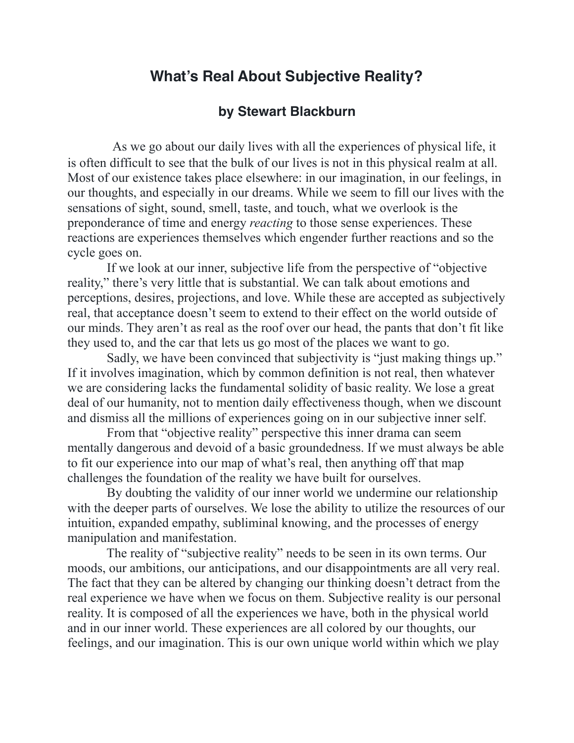## **What's Real About Subjective Reality?**

## **by Stewart Blackburn**

 As we go about our daily lives with all the experiences of physical life, it is often difficult to see that the bulk of our lives is not in this physical realm at all. Most of our existence takes place elsewhere: in our imagination, in our feelings, in our thoughts, and especially in our dreams. While we seem to fill our lives with the sensations of sight, sound, smell, taste, and touch, what we overlook is the preponderance of time and energy *reacting* to those sense experiences. These reactions are experiences themselves which engender further reactions and so the cycle goes on.

 If we look at our inner, subjective life from the perspective of "objective reality," there's very little that is substantial. We can talk about emotions and perceptions, desires, projections, and love. While these are accepted as subjectively real, that acceptance doesn't seem to extend to their effect on the world outside of our minds. They aren't as real as the roof over our head, the pants that don't fit like they used to, and the car that lets us go most of the places we want to go.

 Sadly, we have been convinced that subjectivity is "just making things up." If it involves imagination, which by common definition is not real, then whatever we are considering lacks the fundamental solidity of basic reality. We lose a great deal of our humanity, not to mention daily effectiveness though, when we discount and dismiss all the millions of experiences going on in our subjective inner self.

 From that "objective reality" perspective this inner drama can seem mentally dangerous and devoid of a basic groundedness. If we must always be able to fit our experience into our map of what's real, then anything off that map challenges the foundation of the reality we have built for ourselves.

 By doubting the validity of our inner world we undermine our relationship with the deeper parts of ourselves. We lose the ability to utilize the resources of our intuition, expanded empathy, subliminal knowing, and the processes of energy manipulation and manifestation.

 The reality of "subjective reality" needs to be seen in its own terms. Our moods, our ambitions, our anticipations, and our disappointments are all very real. The fact that they can be altered by changing our thinking doesn't detract from the real experience we have when we focus on them. Subjective reality is our personal reality. It is composed of all the experiences we have, both in the physical world and in our inner world. These experiences are all colored by our thoughts, our feelings, and our imagination. This is our own unique world within which we play